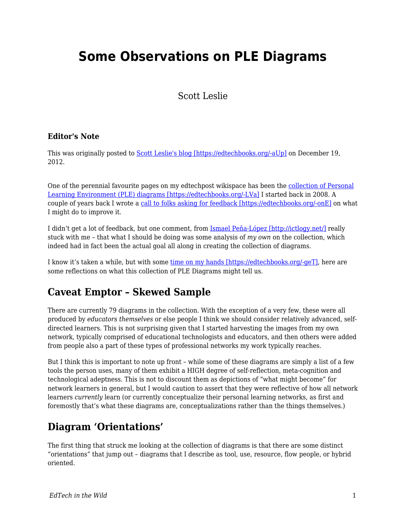# **Some Observations on PLE Diagrams**

#### Scott Leslie

#### **Editor's Note**

This was originally posted to **Scott Leslie's blog [https://edtechbooks.org/-aUp]** on December 19, 2012.

One of the perennial favourite pages on my edtechpost wikispace has been the [collection of Personal](http://edtechpost.wikispaces.com/PLE+Diagrams) [Learning Environment \(PLE\) diagrams \[https://edtechbooks.org/-LVa\]](http://edtechpost.wikispaces.com/PLE+Diagrams) I started back in 2008. A couple of years back I wrote a [call to folks asking for feedback \[https://edtechbooks.org/-onE\]](http://www.edtechpost.ca/wordpress/2009/11/18/improving-on-the-collection-of-ple-diagrams/) on what I might do to improve it.

I didn't get a lot of feedback, but one comment, from [Ismael Peña-López \[http://ictlogy.net/\]](http://ictlogy.net/) really stuck with me – that what I should be doing was some analysis of *my own* on the collection, which indeed had in fact been the actual goal all along in creating the collection of diagrams.

I know it's taken a while, but with some [time on my hands \[https://edtechbooks.org/-geT\]](http://www.edtechpost.ca/wordpress/2012/12/05/leaving-bccampus/), here are some reflections on what this collection of PLE Diagrams might tell us.

### **Caveat Emptor – Skewed Sample**

There are currently 79 diagrams in the collection. With the exception of a very few, these were all produced by *educators themselves* or else people I think we should consider relatively advanced, selfdirected learners. This is not surprising given that I started harvesting the images from my own network, typically comprised of educational technologists and educators, and then others were added from people also a part of these types of professional networks my work typically reaches.

But I think this is important to note up front – while some of these diagrams are simply a list of a few tools the person uses, many of them exhibit a HIGH degree of self-reflection, meta-cognition and technological adeptness. This is not to discount them as depictions of "what might become" for network learners in general, but I would caution to assert that they were reflective of how all network learners *currently* learn (or currently conceptualize their personal learning networks, as first and foremostly that's what these diagrams are, conceptualizations rather than the things themselves.)

### **Diagram 'Orientations'**

The first thing that struck me looking at the collection of diagrams is that there are some distinct "orientations" that jump out – diagrams that I describe as tool, use, resource, flow people, or hybrid oriented.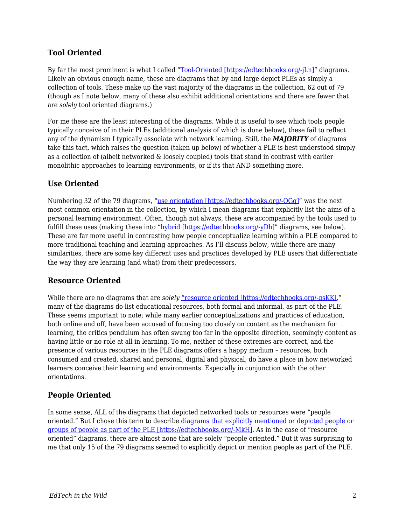#### **Tool Oriented**

By far the most prominent is what I called ["Tool-Oriented \[https://edtechbooks.org/-jLn\]](http://www.edtechpost.ca/ple_diagrams/index.php/tag/1/tool-oriented)" diagrams. Likely an obvious enough name, these are diagrams that by and large depict PLEs as simply a collection of tools. These make up the vast majority of the diagrams in the collection, 62 out of 79 (though as I note below, many of these also exhibit additional orientations and there are fewer that are *solely* tool oriented diagrams.)

For me these are the least interesting of the diagrams. While it is useful to see which tools people typically conceive of in their PLEs (additional analysis of which is done below), these fail to reflect any of the dynamism I typically associate with network learning. Still, the *MAJORITY* of diagrams take this tact, which raises the question (taken up below) of whether a PLE is best understood simply as a collection of (albeit networked & loosely coupled) tools that stand in contrast with earlier monolithic approaches to learning environments, or if its that AND something more.

#### **Use Oriented**

Numbering 32 of the 79 diagrams, "[use orientation \[https://edtechbooks.org/-QGq\]](http://www.edtechpost.ca/ple_diagrams/index.php/tag/3/use-oriented)" was the next most common orientation in the collection, by which I mean diagrams that explicitly list the aims of a personal learning environment. Often, though not always, these are accompanied by the tools used to fulfill these uses (making these into ["hybrid \[https://edtechbooks.org/-yDh\]](http://www.edtechpost.ca/ple_diagrams/index.php/tag/8/hybrid)" diagrams, see below). These are far more useful in contrasting how people conceptualize learning within a PLE compared to more traditional teaching and learning approaches. As I'll discuss below, while there are many similarities, there are some key different uses and practices developed by PLE users that differentiate the way they are learning (and what) from their predecessors.

#### **Resource Oriented**

While there are no diagrams that are *solely* "resource oriented [https://edtechbooks.org/-gsKK]," many of the diagrams do list educational resources, both formal and informal, as part of the PLE. These seems important to note; while many earlier conceptualizations and practices of education, both online and off, have been accused of focusing too closely on content as the mechanism for learning, the critics pendulum has often swung too far in the opposite direction, seemingly content as having little or no role at all in learning. To me, neither of these extremes are correct, and the presence of various resources in the PLE diagrams offers a happy medium – resources, both consumed and created, shared and personal, digital and physical, do have a place in how networked learners conceive their learning and environments. Especially in conjunction with the other orientations.

#### **People Oriented**

In some sense, ALL of the diagrams that depicted networked tools or resources were "people oriented." But I chose this term to describe [diagrams that explicitly mentioned or depicted people or](http://www.edtechpost.ca/ple_diagrams/index.php/tag/7/people-oriented) [groups of people as part of the PLE \[https://edtechbooks.org/-MkH\].](http://www.edtechpost.ca/ple_diagrams/index.php/tag/7/people-oriented) As in the case of "resource oriented" diagrams, there are almost none that are solely "people oriented." But it was surprising to me that only 15 of the 79 diagrams seemed to explicitly depict or mention people as part of the PLE.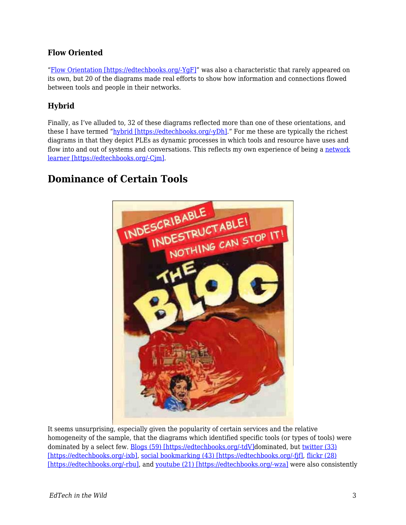#### **Flow Oriented**

"[Flow Orientation \[https://edtechbooks.org/-YgF\]](http://www.edtechpost.ca/ple_diagrams/index.php/tag/4/flow-oriented)" was also a characteristic that rarely appeared on its own, but 20 of the diagrams made real efforts to show how information and connections flowed between tools and people in their networks.

#### **Hybrid**

Finally, as I've alluded to, 32 of these diagrams reflected more than one of these orientations, and these I have termed "[hybrid \[https://edtechbooks.org/-yDh\].](http://www.edtechpost.ca/ple_diagrams/index.php/tag/8/hybrid)" For me these are typically the richest diagrams in that they depict PLEs as dynamic processes in which tools and resource have uses and flow into and out of systems and conversations. This reflects my own experience of being a [network](http://www.edtechpost.ca/wordpress/2010/04/28/network-learner-redux-tlt-10-keynote/) [learner \[https://edtechbooks.org/-Cjm\].](http://www.edtechpost.ca/wordpress/2010/04/28/network-learner-redux-tlt-10-keynote/)

### **Dominance of Certain Tools**



It seems unsurprising, especially given the popularity of certain services and the relative homogeneity of the sample, that the diagrams which identified specific tools (or types of tools) were dominated by a select few. **Blogs** (59) [https://edtechbooks.org/-tdV]dominated, but [twitter \(33\)](http://www.edtechpost.ca/ple_diagrams/index.php/tag/31/twitter) [\[https://edtechbooks.org/-ixb\]](http://www.edtechpost.ca/ple_diagrams/index.php/tag/31/twitter), [social bookmarking \(43\) \[https://edtechbooks.org/-fjf\]](http://www.edtechpost.ca/ple_diagrams/index.php/tag/30/bookmarking), [flickr \(28\)](http://www.edtechpost.ca/ple_diagrams/index.php/tag/35/flickr) [\[https://edtechbooks.org/-rbu\]](http://www.edtechpost.ca/ple_diagrams/index.php/tag/35/flickr), and [youtube \(21\) \[https://edtechbooks.org/-wza\]](http://www.edtechpost.ca/ple_diagrams/index.php/tag/28/youtube) were also consistently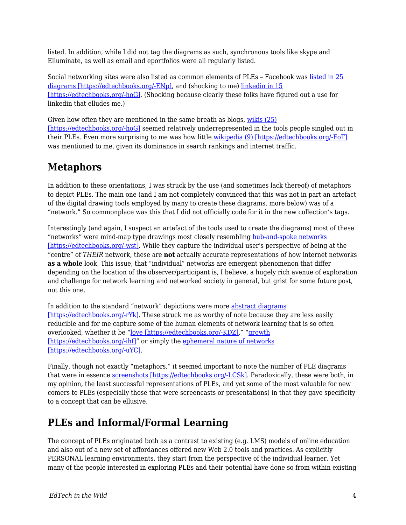listed. In addition, while I did not tag the diagrams as such, synchronous tools like skype and Elluminate, as well as email and eportfolios were all regularly listed.

Social networking sites were also listed as common elements of PLEs – Facebook was [listed in 25](http://www.edtechpost.ca/ple_diagrams/index.php/tag/29/facebook) [diagrams \[https://edtechbooks.org/-ENp\]](http://www.edtechpost.ca/ple_diagrams/index.php/tag/29/facebook), and (shocking to me) [linkedin in 15](http://www.edtechpost.ca/ple_diagrams/index.php/tag/39/linkedin) [\[https://edtechbooks.org/-hoG\].](http://www.edtechpost.ca/ple_diagrams/index.php/tag/39/linkedin) (Shocking because clearly these folks have figured out a use for linkedin that elludes me.)

Given how often they are mentioned in the same breath as blogs, [wikis \(25\)](http://www.edtechpost.ca/ple_diagrams/index.php/tag/39/linkedin) [\[https://edtechbooks.org/-hoG\]](http://www.edtechpost.ca/ple_diagrams/index.php/tag/39/linkedin) seemed relatively underrepresented in the tools people singled out in their PLEs. Even more surprising to me was how little [wikipedia \(9\) \[https://edtechbooks.org/-FoT\]](http://www.edtechpost.ca/ple_diagrams/index.php/tag/27/wikipedia) was mentioned to me, given its dominance in search rankings and internet traffic.

## **Metaphors**

In addition to these orientations, I was struck by the use (and sometimes lack thereof) of metaphors to depict PLEs. The main one (and I am not completely convinced that this was not in part an artefact of the digital drawing tools employed by many to create these diagrams, more below) was of a "network." So commonplace was this that I did not officially code for it in the new collection's tags.

Interestingly (and again, I suspect an artefact of the tools used to create the diagrams) most of these "networks" were mind-map type drawings most closely resembling [hub-and-spoke networks](http://en.wikipedia.org/wiki/Spoke-hub_distribution_paradigm) [\[https://edtechbooks.org/-wst\]](http://en.wikipedia.org/wiki/Spoke-hub_distribution_paradigm). While they capture the individual user's perspective of being at the "centre" of *THEIR* network, these are **not** actually accurate representations of how internet networks **as a whole** look. This issue, that "individual" networks are emergent phenomenon that differ depending on the location of the observer/participant is, I believe, a hugely rich avenue of exploration and challenge for network learning and networked society in general, but grist for some future post, not this one.

In addition to the standard "network" depictions were more [abstract diagrams](http://www.edtechpost.ca/ple_diagrams/index.php/tag/18/abstract) [\[https://edtechbooks.org/-rYk\]](http://www.edtechpost.ca/ple_diagrams/index.php/tag/18/abstract). These struck me as worthy of note because they are less easily reducible and for me capture some of the human elements of network learning that is so often overlooked, whether it be "[love \[https://edtechbooks.org/-KDZ\],](http://www.edtechpost.ca/ple_diagrams/index.php/3199658643_c710f42f03)" "[growth](http://www.edtechpost.ca/ple_diagrams/index.php/MyPLEdiagram) [\[https://edtechbooks.org/-ihf\]](http://www.edtechpost.ca/ple_diagrams/index.php/MyPLEdiagram)" or simply the [ephemeral nature of networks](http://www.edtechpost.ca/ple_diagrams/index.php/2311500013_c4541b75df) [\[https://edtechbooks.org/-uYC\]](http://www.edtechpost.ca/ple_diagrams/index.php/2311500013_c4541b75df).

Finally, though not exactly "metaphors," it seemed important to note the number of PLE diagrams that were in essence [screenshots \[https://edtechbooks.org/-LCSk\]](http://www.edtechpost.ca/ple_diagrams/index.php/tag/15/screenshot). Paradoxically, these were both, in my opinion, the least successful representations of PLEs, and yet some of the most valuable for new comers to PLEs (especially those that were screencasts or presentations) in that they gave specificity to a concept that can be ellusive.

## **PLEs and Informal/Formal Learning**

The concept of PLEs originated both as a contrast to existing (e.g. LMS) models of online education and also out of a new set of affordances offered new Web 2.0 tools and practices. As explicitly PERSONAL learning environments, they start from the perspective of the individual learner. Yet many of the people interested in exploring PLEs and their potential have done so from within existing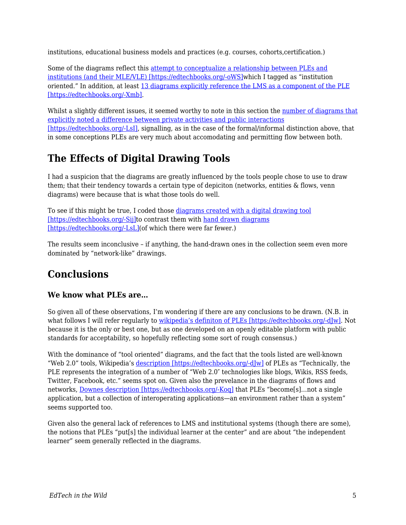institutions, educational business models and practices (e.g. courses, cohorts,certification.)

Some of the diagrams reflect this [attempt to conceptualize a relationship between PLEs and](http://www.edtechpost.ca/ple_diagrams/index.php/tag/22/institution-oriented) [institutions \(and their MLE/VLE\) \[https://edtechbooks.org/-oWS\]w](http://www.edtechpost.ca/ple_diagrams/index.php/tag/22/institution-oriented)hich I tagged as "institution oriented." In addition, at least [13 diagrams explicitly reference the LMS as a component of the PLE](http://www.edtechpost.ca/ple_diagrams/index.php/tag/37/lms) [\[https://edtechbooks.org/-Xmb\]](http://www.edtechpost.ca/ple_diagrams/index.php/tag/37/lms).

Whilst a slightly different issues, it seemed worthy to note in this section the [number of diagrams that](http://www.edtechpost.ca/ple_diagrams/index.php/tag/16/public-private) [explicitly noted a difference between private activities and public interactions](http://www.edtechpost.ca/ple_diagrams/index.php/tag/16/public-private) [\[https://edtechbooks.org/-LsI\],](http://www.edtechpost.ca/ple_diagrams/index.php/tag/16/public-private) signalling, as in the case of the formal/informal distinction above, that in some conceptions PLEs are very much about accomodating and permitting flow between both.

## **The Effects of Digital Drawing Tools**

I had a suspicion that the diagrams are greatly influenced by the tools people chose to use to draw them; that their tendency towards a certain type of depiciton (networks, entities & flows, venn diagrams) were because that is what those tools do well.

To see if this might be true, I coded those [diagrams created with a digital drawing tool](http://www.edtechpost.ca/ple_diagrams/index.php/tag/2/drawing-tool) [\[https://edtechbooks.org/-Sij\]](http://www.edtechpost.ca/ple_diagrams/index.php/tag/2/drawing-tool)to contrast them with [hand drawn diagrams](http://www.edtechpost.ca/ple_diagrams/index.php/tag/14/hand-drawn) [\[https://edtechbooks.org/-LsL\]\(](http://www.edtechpost.ca/ple_diagrams/index.php/tag/14/hand-drawn)of which there were far fewer.)

The results seem inconclusive – if anything, the hand-drawn ones in the collection seem even more dominated by "network-like" drawings.

## **Conclusions**

#### **We know what PLEs are…**

So given all of these observations, I'm wondering if there are any conclusions to be drawn. (N.B. in what follows I will refer regularly to [wikipedia's definiton of PLEs \[https://edtechbooks.org/-dJw\]](http://en.wikipedia.org/wiki/Personal_learning_environment). Not because it is the only or best one, but as one developed on an openly editable platform with public standards for acceptability, so hopefully reflecting some sort of rough consensus.)

With the dominance of "tool oriented" diagrams, and the fact that the tools listed are well-known "Web 2.0" tools, Wikipedia's [description \[https://edtechbooks.org/-dJw\]](http://en.wikipedia.org/wiki/Personal_learning_environment) of PLEs as "Technically, the PLE represents the integration of a number of "Web 2.0″ technologies like blogs, Wikis, RSS feeds, Twitter, Facebook, etc." seems spot on. Given also the prevelance in the diagrams of flows and networks, [Downes description \[https://edtechbooks.org/-Koq\]](http://www.elearnmag.org/subpage.cfm?section=articles&article=29-1) that PLEs "become[s]…not a single application, but a collection of interoperating applications—an environment rather than a system" seems supported too.

Given also the general lack of references to LMS and institutional systems (though there are some), the notions that PLEs "put[s] the individual learner at the center" and are about "the independent learner" seem generally reflected in the diagrams.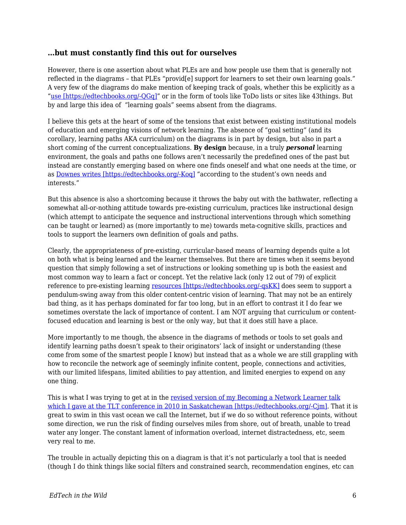#### **…but must constantly find this out for ourselves**

However, there is one assertion about what PLEs are and how people use them that is generally not reflected in the diagrams – that PLEs "provid[e] support for learners to set their own learning goals." A very few of the diagrams do make mention of keeping track of goals, whether this be explicitly as a "[use \[https://edtechbooks.org/-QGq\]"](http://www.edtechpost.ca/ple_diagrams/index.php/tag/3/use-oriented) or in the form of tools like ToDo lists or sites like 43things. But by and large this idea of "learning goals" seems absent from the diagrams.

I believe this gets at the heart of some of the tensions that exist between existing institutional models of education and emerging visions of network learning. The absence of "goal setting" (and its corollary, learning paths AKA curriculum) on the diagrams is in part by design, but also in part a short coming of the current conceptualizations. **By design** because, in a truly *personal* learning environment, the goals and paths one follows aren't necessarily the predefined ones of the past but instead are constantly emerging based on where one finds oneself and what one needs at the time, or as [Downes writes \[https://edtechbooks.org/-Koq\]](http://www.elearnmag.org/subpage.cfm?section=articles&article=29-1) "according to the student's own needs and interests."

But this absence is also a shortcoming because it throws the baby out with the bathwater, reflecting a somewhat all-or-nothing attitude towards pre-existing curriculum, practices like instructional design (which attempt to anticipate the sequence and instructional interventions through which something can be taught or learned) as (more importantly to me) towards meta-cognitive skills, practices and tools to support the learners own definition of goals and paths.

Clearly, the appropriateness of pre-existing, curricular-based means of learning depends quite a lot on both what is being learned and the learner themselves. But there are times when it seems beyond question that simply following a set of instructions or looking something up is both the easiest and most common way to learn a fact or concept. Yet the relative lack (only 12 out of 79) of explicit reference to pre-existing learning [resources \[https://edtechbooks.org/-qsKK\]](http://www.edtechpost.ca/ple_diagrams/index.php/tag/6/resource-oriented) does seem to support a pendulum-swing away from this older content-centric vision of learning. That may not be an entirely bad thing, as it has perhaps dominated for far too long, but in an effort to contrast it I do fear we sometimes overstate the lack of importance of content. I am NOT arguing that curriculum or contentfocused education and learning is best or the only way, but that it does still have a place.

More importantly to me though, the absence in the diagrams of methods or tools to set goals and identify learning paths doesn't speak to their originators' lack of insight or understanding (these come from some of the smartest people I know) but instead that as a whole we are still grappling with how to reconcile the network age of seemingly infinite content, people, connections and activities, with our limited lifespans, limited abilities to pay attention, and limited energies to expend on any one thing.

This is what I was trying to get at in the [revised version of my Becoming a Network Learner talk](http://www.edtechpost.ca/wordpress/2010/04/28/network-learner-redux-tlt-10-keynote/) [which I gave at the TLT conference in 2010 in Saskatchewan \[https://edtechbooks.org/-Cjm\].](http://www.edtechpost.ca/wordpress/2010/04/28/network-learner-redux-tlt-10-keynote/) That it is great to swim in this vast ocean we call the Internet, but if we do so without reference points, without some direction, we run the risk of finding ourselves miles from shore, out of breath, unable to tread water any longer. The constant lament of information overload, internet distractedness, etc, seem very real to me.

The trouble in actually depicting this on a diagram is that it's not particularly a tool that is needed (though I do think things like social filters and constrained search, recommendation engines, etc can